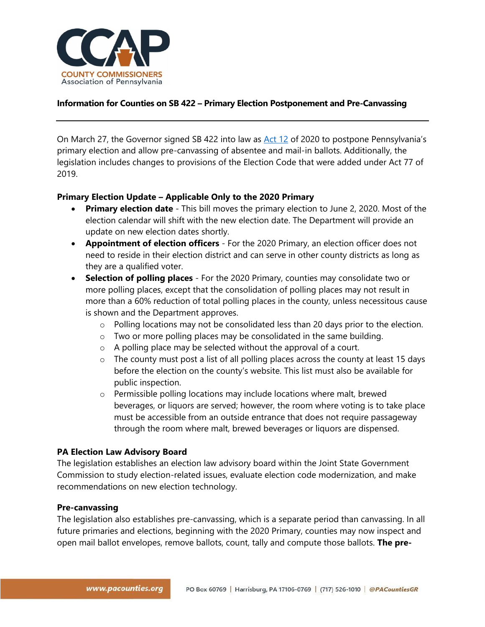

#### **Information for Counties on SB 422 – Primary Election Postponement and Pre-Canvassing**

On March 27, the Governor signed SB 422 into law as [Act 12](https://www.legis.state.pa.us/cfdocs/billInfo/billInfo.cfm?sYear=2019&sInd=0&body=S&type=B&bn=0422) of 2020 to postpone Pennsylvania's primary election and allow pre-canvassing of absentee and mail-in ballots. Additionally, the legislation includes changes to provisions of the Election Code that were added under Act 77 of 2019.

#### **Primary Election Update – Applicable Only to the 2020 Primary**

- **Primary election date** This bill moves the primary election to June 2, 2020. Most of the election calendar will shift with the new election date. The Department will provide an update on new election dates shortly.
- **Appointment of election officers** For the 2020 Primary, an election officer does not need to reside in their election district and can serve in other county districts as long as they are a qualified voter.
- **Selection of polling places** For the 2020 Primary, counties may consolidate two or more polling places, except that the consolidation of polling places may not result in more than a 60% reduction of total polling places in the county, unless necessitous cause is shown and the Department approves.
	- $\circ$  Polling locations may not be consolidated less than 20 days prior to the election.
	- o Two or more polling places may be consolidated in the same building.
	- o A polling place may be selected without the approval of a court.
	- $\circ$  The county must post a list of all polling places across the county at least 15 days before the election on the county's website. This list must also be available for public inspection.
	- o Permissible polling locations may include locations where malt, brewed beverages, or liquors are served; however, the room where voting is to take place must be accessible from an outside entrance that does not require passageway through the room where malt, brewed beverages or liquors are dispensed.

#### **PA Election Law Advisory Board**

The legislation establishes an election law advisory board within the Joint State Government Commission to study election-related issues, evaluate election code modernization, and make recommendations on new election technology.

#### **Pre-canvassing**

The legislation also establishes pre-canvassing, which is a separate period than canvassing. In all future primaries and elections, beginning with the 2020 Primary, counties may now inspect and open mail ballot envelopes, remove ballots, count, tally and compute those ballots. **The pre-**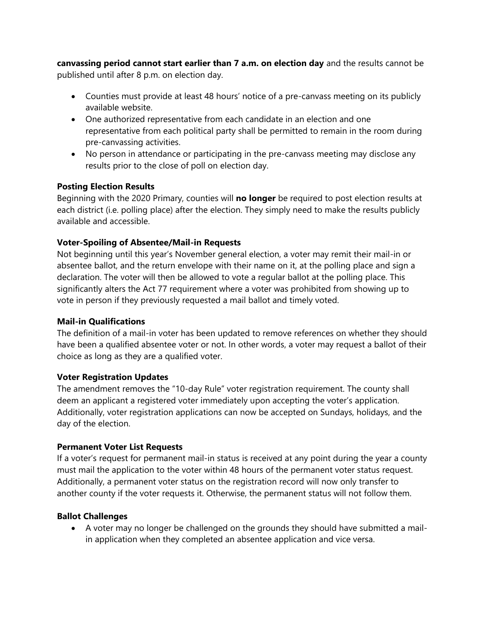**canvassing period cannot start earlier than 7 a.m. on election day** and the results cannot be published until after 8 p.m. on election day.

- Counties must provide at least 48 hours' notice of a pre-canvass meeting on its publicly available website.
- One authorized representative from each candidate in an election and one representative from each political party shall be permitted to remain in the room during pre-canvassing activities.
- No person in attendance or participating in the pre-canvass meeting may disclose any results prior to the close of poll on election day.

### **Posting Election Results**

Beginning with the 2020 Primary, counties will **no longer** be required to post election results at each district (i.e. polling place) after the election. They simply need to make the results publicly available and accessible.

## **Voter-Spoiling of Absentee/Mail-in Requests**

Not beginning until this year's November general election, a voter may remit their mail-in or absentee ballot, and the return envelope with their name on it, at the polling place and sign a declaration. The voter will then be allowed to vote a regular ballot at the polling place. This significantly alters the Act 77 requirement where a voter was prohibited from showing up to vote in person if they previously requested a mail ballot and timely voted.

### **Mail-in Qualifications**

The definition of a mail-in voter has been updated to remove references on whether they should have been a qualified absentee voter or not. In other words, a voter may request a ballot of their choice as long as they are a qualified voter.

### **Voter Registration Updates**

The amendment removes the "10-day Rule" voter registration requirement. The county shall deem an applicant a registered voter immediately upon accepting the voter's application. Additionally, voter registration applications can now be accepted on Sundays, holidays, and the day of the election.

### **Permanent Voter List Requests**

If a voter's request for permanent mail-in status is received at any point during the year a county must mail the application to the voter within 48 hours of the permanent voter status request. Additionally, a permanent voter status on the registration record will now only transfer to another county if the voter requests it. Otherwise, the permanent status will not follow them.

### **Ballot Challenges**

• A voter may no longer be challenged on the grounds they should have submitted a mailin application when they completed an absentee application and vice versa.